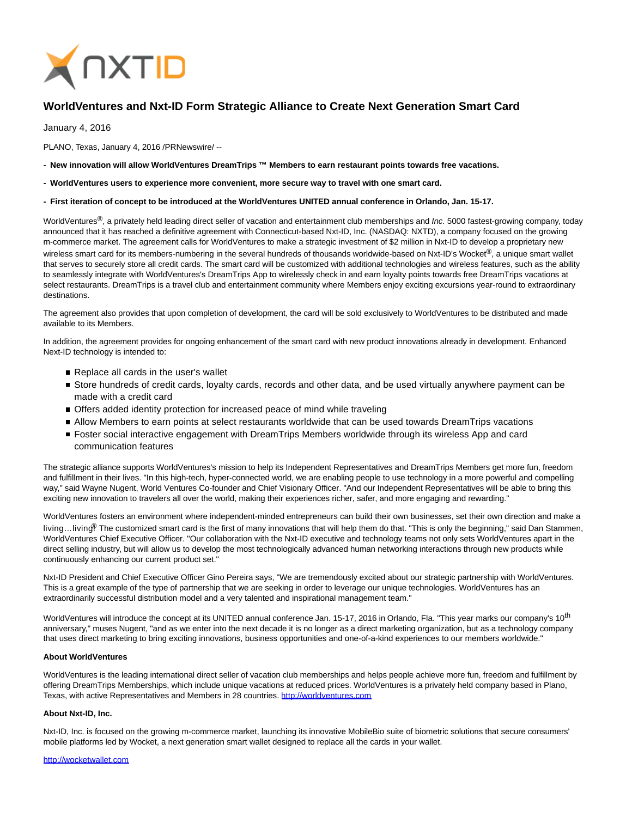

# **WorldVentures and Nxt-ID Form Strategic Alliance to Create Next Generation Smart Card**

January 4, 2016

PLANO, Texas, January 4, 2016 /PRNewswire/ --

- **New innovation will allow WorldVentures DreamTrips ™ Members to earn restaurant points towards free vacations.**
- **WorldVentures users to experience more convenient, more secure way to travel with one smart card.**
- **First iteration of concept to be introduced at the WorldVentures UNITED annual conference in Orlando, Jan. 15-17.**

WorldVentures<sup>®</sup>, a privately held leading direct seller of vacation and entertainment club memberships and Inc. 5000 fastest-growing company, today announced that it has reached a definitive agreement with Connecticut-based Nxt-ID, Inc. (NASDAQ: NXTD), a company focused on the growing m-commerce market. The agreement calls for WorldVentures to make a strategic investment of \$2 million in Nxt-ID to develop a proprietary new wireless smart card for its members-numbering in the several hundreds of thousands worldwide-based on Nxt-ID's Wocket®, a unique smart wallet that serves to securely store all credit cards. The smart card will be customized with additional technologies and wireless features, such as the ability to seamlessly integrate with WorldVentures's DreamTrips App to wirelessly check in and earn loyalty points towards free DreamTrips vacations at select restaurants. DreamTrips is a travel club and entertainment community where Members enjoy exciting excursions year-round to extraordinary destinations.

The agreement also provides that upon completion of development, the card will be sold exclusively to WorldVentures to be distributed and made available to its Members.

In addition, the agreement provides for ongoing enhancement of the smart card with new product innovations already in development. Enhanced Next-ID technology is intended to:

- Replace all cards in the user's wallet
- Store hundreds of credit cards, loyalty cards, records and other data, and be used virtually anywhere payment can be made with a credit card
- Offers added identity protection for increased peace of mind while traveling
- Allow Members to earn points at select restaurants worldwide that can be used towards DreamTrips vacations
- Foster social interactive engagement with DreamTrips Members worldwide through its wireless App and card communication features

The strategic alliance supports WorldVentures's mission to help its Independent Representatives and DreamTrips Members get more fun, freedom and fulfillment in their lives. "In this high-tech, hyper-connected world, we are enabling people to use technology in a more powerful and compelling way," said Wayne Nugent, World Ventures Co-founder and Chief Visionary Officer. "And our Independent Representatives will be able to bring this exciting new innovation to travelers all over the world, making their experiences richer, safer, and more engaging and rewarding."

WorldVentures fosters an environment where independent-minded entrepreneurs can build their own businesses, set their own direction and make a living...living<sup>®</sup> The customized smart card is the first of many innovations that will help them do that. "This is only the beginning," said Dan Stammen, WorldVentures Chief Executive Officer. "Our collaboration with the Nxt-ID executive and technology teams not only sets WorldVentures apart in the direct selling industry, but will allow us to develop the most technologically advanced human networking interactions through new products while continuously enhancing our current product set."

Nxt-ID President and Chief Executive Officer Gino Pereira says, "We are tremendously excited about our strategic partnership with WorldVentures. This is a great example of the type of partnership that we are seeking in order to leverage our unique technologies. WorldVentures has an extraordinarily successful distribution model and a very talented and inspirational management team."

WorldVentures will introduce the concept at its UNITED annual conference Jan. 15-17, 2016 in Orlando, Fla. "This year marks our company's 10<sup>th</sup> anniversary," muses Nugent, "and as we enter into the next decade it is no longer as a direct marketing organization, but as a technology company that uses direct marketing to bring exciting innovations, business opportunities and one-of-a-kind experiences to our members worldwide."

## **About WorldVentures**

WorldVentures is the leading international direct seller of vacation club memberships and helps people achieve more fun, freedom and fulfillment by offering DreamTrips Memberships, which include unique vacations at reduced prices. WorldVentures is a privately held company based in Plano, Texas, with active Representatives and Members in 28 countries. [http://worldventures.com](http://www.worldventures.com/)

### **About Nxt-ID, Inc.**

Nxt-ID, Inc. is focused on the growing m-commerce market, launching its innovative MobileBio suite of biometric solutions that secure consumers' mobile platforms led by Wocket, a next generation smart wallet designed to replace all the cards in your wallet.